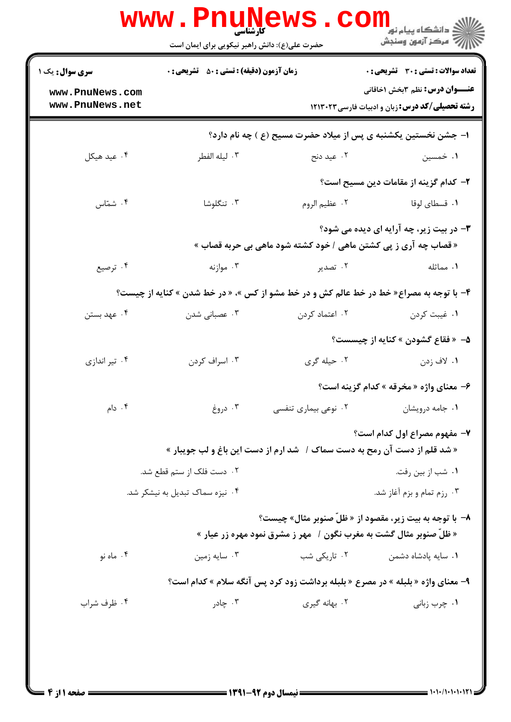| <b>سری سوال :</b> یک ۱ | <b>زمان آزمون (دقیقه) : تستی : 50 ٪ تشریحی : 0</b> |                                                                                         | تعداد سوالات : تستى : 30 - تشريحي : 0                  |
|------------------------|----------------------------------------------------|-----------------------------------------------------------------------------------------|--------------------------------------------------------|
| www.PnuNews.com        |                                                    |                                                                                         | <b>عنـــوان درس:</b> نظم ۳بخش ۱خاقانی                  |
| www.PnuNews.net        |                                                    |                                                                                         | <b>رشته تحصیلی/کد درس:</b> زبان و ادبیات فارسی ۱۲۱۳۰۲۳ |
|                        |                                                    | ا- جشن نخستین یکشنبه ی پس از میلاد حضرت مسیح (ع ) چه نام دارد؟                          |                                                        |
| ۰۴ عید هیکل            | ۰۳ ليله الفطر                                      | ۰۲ عید دنح                                                                              | ۰۱ خمسین                                               |
|                        |                                                    |                                                                                         | ۲– کدام گزینه از مقامات دین مسیح است؟                  |
| ۰۴ شمّاس               | ۰۳ تنگلوشا                                         | ٠٢ عظيم الروم                                                                           | ۰۱ قسطای لوقا                                          |
|                        |                                                    |                                                                                         | <b>۳</b> - در بیت زیر، چه آرایه ای دیده می شود؟        |
|                        |                                                    | « قصاب چه آری ز پی کشتن ماهی / خود کشته شود ماهی بی حربه قصاب »                         |                                                        |
| ۰۴ ترصیع               | ۰۳ موازنه                                          | ۰۲ تصدیر                                                                                | ۰۱ مماثله                                              |
|                        |                                                    | ۴- با توجه به مصراع« خط در خط عالم کش و در خط مشو از کس »، « در خط شدن » کنایه از چیست؟ |                                                        |
| ۰۴ عهد بستن            | ۰۳ عصبانی شدن                                      | ۰۲ اعتماد کردن                                                                          | ٠١. غيبت كردن                                          |
|                        |                                                    |                                                                                         | <b>۵</b> — « فقاع گشودن » کنایه از چیسست؟              |
| ۰۴ تیر اندازی          | ۰۳ اسراف کردن                                      | ۰۲ حیله گری                                                                             | ۰۱ لاف زدن                                             |
|                        |                                                    |                                                                                         | ۶- معنای واژه « مخرقه » کدام گزینه است؟                |
| ۰۴ دام                 | ۰۳ دروغ                                            | ۰۲ نوعی بیماری تنفسی                                                                    | ۰۱ جامه درویشان                                        |
|                        |                                                    |                                                                                         | ٧- مفهوم مصراع اول كدام است؟                           |
|                        |                                                    | « شد قلم از دست آن رمح به دست سماک /   شد ارم از دست این باغ و لب جویبار »              |                                                        |
|                        | ۰۲ دست فلک از ستم قطع شد.                          |                                                                                         | ۰۱ شب از بين رفت.                                      |
|                        | ۰۴ نیزه سماک تبدیل به نیشکر شد.                    |                                                                                         | ۰۳ رزم تمام و بزم آغاز شد.                             |
|                        |                                                    | ٨- با توجه به بيت زير، مقصود از « ظلّ صنوبر مثال» چيست؟                                 |                                                        |
|                        |                                                    | « ظلّ صنوبر مثال گشت به مغرب نگون /   مهر ز مشرق نمود مهره زر عیار »                    |                                                        |
| ۰۴ ماه نو              | ۰۳ سایه زمین                                       | ۰۲ تاریک <sub>ی</sub> شب                                                                | ۰۱ سایه پادشاه دشمن                                    |
|                        |                                                    | ۹- معنای واژه « بلبله » در مصرع « بلبله برداشت زود کرد پس آنگه سلام » کدام است؟         |                                                        |
| ۰۴ ظرف شراب            | ۰۳ چادر                                            | ۰۲ بهانه گیری                                                                           | ۰۱ چرب زبانی                                           |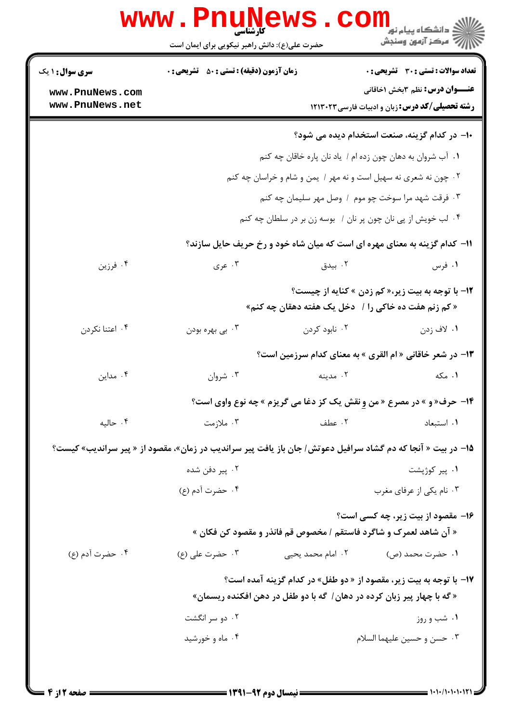|                        | حضرت علی(ع): دانش راهبر نیکویی برای ایمان است                                                                |                                                                 | ڪ دانشڪاه پيام نور <mark>−</mark><br>/7 مرڪز آزمون وسنڊش |
|------------------------|--------------------------------------------------------------------------------------------------------------|-----------------------------------------------------------------|----------------------------------------------------------|
| <b>سری سوال : ۱ یک</b> | <b>زمان آزمون (دقیقه) : تستی : 50 ٪ تشریحی : 0</b>                                                           |                                                                 | <b>تعداد سوالات : تستی : 30 ٪ تشریحی : 0</b>             |
| www.PnuNews.com        |                                                                                                              |                                                                 | <b>عنـــوان درس:</b> نظم 3بخش 1خاقانی                    |
| www.PnuNews.net        |                                                                                                              |                                                                 | <b>رشته تحصیلی/کد درس:</b> زبان و ادبیات فارسی ۱۲۱۳۰۲۳   |
|                        |                                                                                                              |                                                                 | ۱۰– در کدام گزینه، صنعت استخدام دیده می شود؟             |
|                        |                                                                                                              | ۰۱ آب شروان به دهان چون زده ام / یاد نان پاره خاقان چه کنم      |                                                          |
|                        |                                                                                                              | ۰۲ چون نه شعری نه سهیل است و نه مهر / یمن و شام و خراسان چه کنم |                                                          |
|                        |                                                                                                              | ۰۳ فرقت شهد مرا سوخت چو موم ۱ وصل مهر سلیمان چه کنم             |                                                          |
|                        |                                                                                                              | ۰۴ لب خویش از پی نان چون پر نان / بوسه زن بر در سلطان چه کنم    |                                                          |
|                        | 11- کدام گزینه به معنای مهره ای است که میان شاه خود و رخ حریف حایل سازند؟                                    |                                                                 |                                                          |
| ۰۴ فرزين               | ۰۳ عری                                                                                                       | ۰۲ بیدق                                                         | ۰۱ فرس                                                   |
|                        |                                                                                                              |                                                                 | ۱۲- با توجه به بیت زیر،« کم زدن » کنایه از چیست؟         |
|                        |                                                                                                              | « کم زنم هفت ده خاکی را /   دخل یک هفته دهقان چه کنم»           |                                                          |
| ۰۴ اعتنا نکردن         | ۰۳ بي بهره بودن                                                                                              | ۰۲ نابود کردن                                                   | ۰۱ لاف زدن                                               |
|                        |                                                                                                              |                                                                 | ۱۳- در شعر خاقانی « ام القری » به معنای کدام سرزمین است؟ |
| ۰۴ مداین               | ۰۳ شروان                                                                                                     | ۰۲ مدینه                                                        | ۰۱ مکه                                                   |
|                        | <b>۱۴- حرف« و » در مصرع « من و نقش یک کز دغا می گریزم » چه نوع واوی است؟</b>                                 |                                                                 |                                                          |
| ۰۴ حاليه               | ۰۳ ملازمت                                                                                                    | ۰۲ عطف                                                          | ٠١. استبعاد                                              |
|                        | ۱۵– در بیت « آنجا که دم گشاد سرافیل دعوتش / جان باز یافت پیر سراندیب در زمان»، مقصود از « پیر سراندیب» کیست؟ |                                                                 |                                                          |
|                        | ۰۲ پیر دفن شده                                                                                               |                                                                 | ۰۱ پیر کوژپشت                                            |
|                        | ۰۴ حضرت آدم (ع)                                                                                              |                                                                 | ۰۳ نام یکی از عرفای مغرب                                 |
|                        |                                                                                                              |                                                                 | ۱۶- مقصود از بیت زیر، چه کسی است؟                        |
|                        | « آن شاهد لعمرک و شاگرد فاستقم / مخصوص قم فانذر و مقصود کن فکان »                                            |                                                                 |                                                          |
| ۰۴ حضرت أدم (ع)        | ۰۳ حضرت على (ع)                                                                                              | ۰۲ امام محمد یحیی                                               | ۱. حضرت محمد (ص)                                         |
|                        | <b>۱۷- با توجه به بیت زیر، مقصود از « دو طفل» در کدام گزینه آمده است؟</b>                                    |                                                                 |                                                          |
|                        | « گه با چهار پیر زبان کرده در دهان / گه با دو طفل در دهن افکنده ریسمان»                                      |                                                                 |                                                          |
|                        | ۰۲ دو سر انگشت                                                                                               |                                                                 | ۰۱ شب و روز                                              |
|                        | ۰۴ ماه و خورشید                                                                                              |                                                                 | ۰۳ حسن و حسین علیهما السلام                              |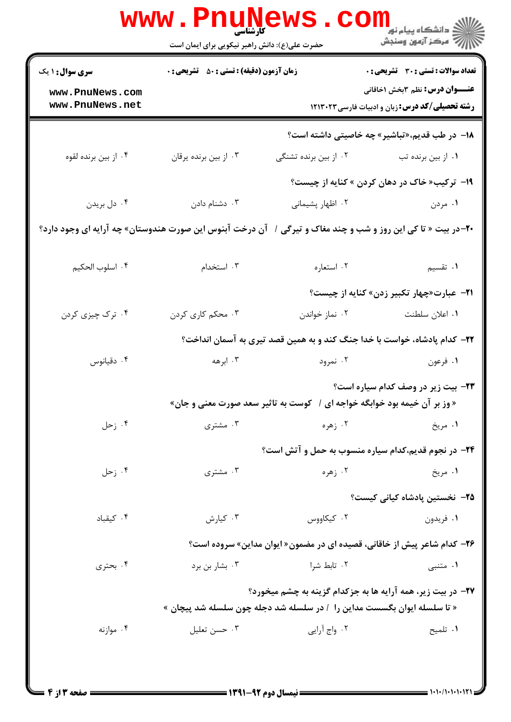|                                    | www . Pn<br><b>کارشناسی</b><br>حضرت علی(ع): دانش راهبر نیکویی برای ایمان است |                       | لاد دانشگاه پيام نور <mark>--</mark><br>  <i>  &gt;</i> مرکز آزمون وسنجش                                                                |
|------------------------------------|------------------------------------------------------------------------------|-----------------------|-----------------------------------------------------------------------------------------------------------------------------------------|
| <b>سری سوال : ۱ یک</b>             | <b>زمان آزمون (دقیقه) : تستی : 50 ٪ تشریحی : 0</b>                           |                       | <b>تعداد سوالات : تستی : 30 ٪ تشریحی : 0</b>                                                                                            |
| www.PnuNews.com<br>www.PnuNews.net |                                                                              |                       | <b>عنـــوان درس:</b> نظم 3بخش 1خاقانی<br>رشته تحصیلی/کد درس: زبان و ادبیات فارسی ١٢١٣٠٢٣                                                |
|                                    |                                                                              |                       | 1۸− در طب قدیم، «تباشیر» چه خاصیتی داشته است؟                                                                                           |
| ۰۴ از بین برنده لقوه               | ۰۳ از بین برنده پرقان                                                        | ۰۲ از بین برنده تشنگی | ۰۱ از بین برنده تب                                                                                                                      |
|                                    |                                                                              |                       | ۱۹- ترکیب« خاک در دهان کردن » کنایه از چیست؟                                                                                            |
| ۰۴ دل بريدن                        | ۰۳ دشنام دادن                                                                | ٠٢ اظهار پشيماني      | ۰۱ مردن                                                                                                                                 |
|                                    |                                                                              |                       | <b>۲۰</b> –در بیت « تا کی این روز و شب و چند مغاک و تیرگی /   آن درخت آبنوس این صورت هندوستان» چه آرایه ای وجود دارد؟                   |
| ۰۴ اسلوب الحکیم                    | ۰۳ استخدام                                                                   | ۰۲ استعاره            | <b>۱</b> . تقسیم                                                                                                                        |
|                                    |                                                                              |                       | <b>۲۱</b> - عبارت«چهار تکبیر زدن» کنایه از چیست؟                                                                                        |
| ۰۴ ترک چیزی کردن                   | ۰۳ محکم کاری کردن                                                            | ۰۲ نماز خواندن        | ۰۱ اعلان سلطنت                                                                                                                          |
|                                    |                                                                              |                       | ۲۲– کدام پادشاه، خواست با خدا جنگ کند و به همین قصد تیری به آسمان انداخت؟                                                               |
| ۰۴ دقیانوس                         | ۰۳ ابرهه                                                                     | ۰۲ نمرود              | ۰۱ فرعون                                                                                                                                |
|                                    |                                                                              |                       | ۲۳- بیت زیر در وصف کدام سیاره است؟                                                                                                      |
|                                    |                                                                              |                       | « وز بر آن خیمه بود خوابگه خواجه ای /   کوست به تاثیر سعد صورت معنی و جان»                                                              |
| ۰۴ زحل                             | ۰۳ مشتری                                                                     | ۰۲ زهره               | ۰۱ مريخ                                                                                                                                 |
|                                    |                                                                              |                       | <b>۲۴</b> - در نجوم قدیم،کدام سیاره منسوب به حمل و آتش است؟                                                                             |
| ۰۴ زحل                             | ۰۳ مشتری                                                                     | ۰۲ زهره               | ۱. مريخ                                                                                                                                 |
|                                    |                                                                              |                       | <b>۲۵</b> – نخستین یادشاه کیانی کیست؟                                                                                                   |
| ۰۴ کیقباد                          | ۰۳ کیارش                                                                     | ۰۲ کیکاووس            | ۰۱ فريدون                                                                                                                               |
|                                    |                                                                              |                       | <b>۳۶</b> - کدام شاعر پیش از خاقانی، قصیده ای در مضمون« ایوان مداین» سروده است؟                                                         |
| ۰۴ بحتري                           | ۰۳ بشار بن برد                                                               | ۰۲ تابط شرا           | ۰۱ متنبی                                                                                                                                |
|                                    |                                                                              |                       | ۲۷- در بیت زیر، همه آرایه ها به جزکدام گزینه به چشم میخورد؟<br>« تا سلسله ایوان بگسست مداین را  / در سلسله شد دجله چون سلسله شد پیچان » |
| ۰۴ موازنه                          | ۰۳ حسن تعليل                                                                 | ۰۲ واج آرایی          | ٠١ تلميح                                                                                                                                |
|                                    |                                                                              |                       |                                                                                                                                         |